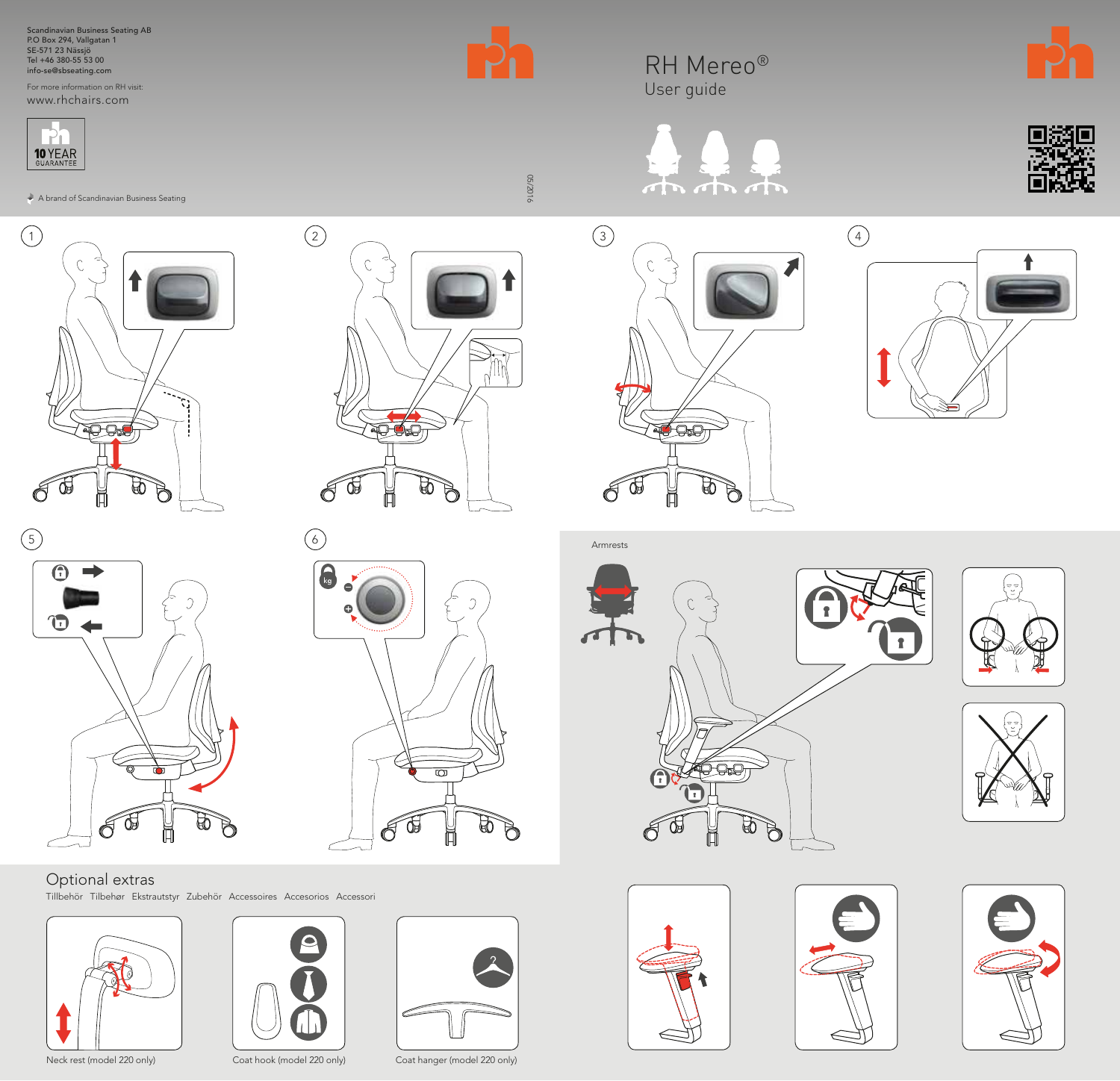Scandinavian Business Seating AB P.O Box 294, Vallgatan 1 SE-571 23 Nässjö Tel +46 380-55 53 00 info-se@sbseating.com

For more information on RH visit: www.rhchairs.com





A brand of Scandinavian Business Seating





 $\mathcal{C}$ 

 $\odot$ 



# 6  $\bigcap_{k \in \mathbb{N}}$  $\bullet$  $\bigcirc$  $\overline{\mathbf{z}}$  $\mathbb{P}$  $\bigotimes$ Œ ÌĪ

## Optional extras

Tillbehör Tilbehør Ekstrautstyr Zubehör Accessoires Accesorios Accessori









RH Mereo® User guide





 $\begin{array}{ccc} 3 \end{array}$  (4  $\mathcal{C}$ **9:9** 9  $\bigotimes$ Œ ð





05/2016